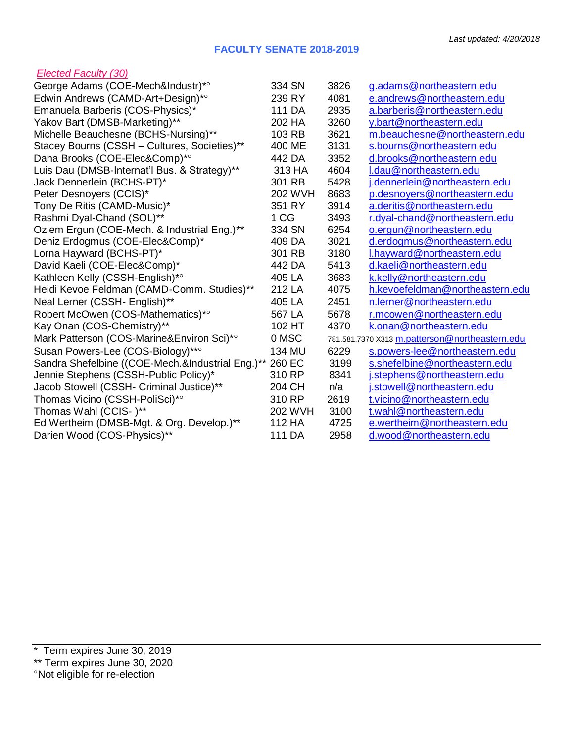## **FACULTY SENATE 2018-2019**

## *Elected Faculty (30)*

| George Adams (COE-Mech&Industr)*°                | 334 SN         | 3826 | g.adams@northeastern.edu                       |
|--------------------------------------------------|----------------|------|------------------------------------------------|
| Edwin Andrews (CAMD-Art+Design)*°                | 239 RY         | 4081 | e.andrews@northeastern.edu                     |
| Emanuela Barberis (COS-Physics)*                 | 111 DA         | 2935 | a.barberis@northeastern.edu                    |
| Yakov Bart (DMSB-Marketing)**                    | 202 HA         | 3260 | y.bart@northeastern.edu                        |
| Michelle Beauchesne (BCHS-Nursing)**             | 103 RB         | 3621 | m.beauchesne@northeastern.edu                  |
| Stacey Bourns (CSSH - Cultures, Societies)**     | 400 ME         | 3131 | s.bourns@northeastern.edu                      |
| Dana Brooks (COE-Elec&Comp)*°                    | 442 DA         | 3352 | d.brooks@northeastern.edu                      |
| Luis Dau (DMSB-Internat'l Bus. & Strategy)**     | 313 HA         | 4604 | I.dau@northeastern.edu                         |
| Jack Dennerlein (BCHS-PT)*                       | 301 RB         | 5428 | i.dennerlein@northeastern.edu                  |
| Peter Desnoyers (CCIS)*                          | <b>202 WVH</b> | 8683 | p.desnoyers@northeastern.edu                   |
| Tony De Ritis (CAMD-Music)*                      | 351 RY         | 3914 | a.deritis@northeastern.edu                     |
| Rashmi Dyal-Chand (SOL)**                        | 1 CG           | 3493 | r.dyal-chand@northeastern.edu                  |
| Ozlem Ergun (COE-Mech. & Industrial Eng.)**      | 334 SN         | 6254 | o.ergun@northeastern.edu                       |
| Deniz Erdogmus (COE-Elec&Comp)*                  | 409 DA         | 3021 | d.erdogmus@northeastern.edu                    |
| Lorna Hayward (BCHS-PT)*                         | 301 RB         | 3180 | I.hayward@northeastern.edu                     |
| David Kaeli (COE-Elec&Comp)*                     | 442 DA         | 5413 | d.kaeli@northeastern.edu                       |
| Kathleen Kelly (CSSH-English)*°                  | 405 LA         | 3683 | k.kelly@northeastern.edu                       |
| Heidi Kevoe Feldman (CAMD-Comm. Studies)**       | 212 LA         | 4075 | h.kevoefeldman@northeastern.edu                |
| Neal Lerner (CSSH- English)**                    | 405 LA         | 2451 | n.lerner@northeastern.edu                      |
| Robert McOwen (COS-Mathematics)*°                | 567 LA         | 5678 | r.mcowen@northeastern.edu                      |
| Kay Onan (COS-Chemistry)**                       | 102 HT         | 4370 | k.onan@northeastern.edu                        |
| Mark Patterson (COS-Marine&Environ Sci)*°        | 0 MSC          |      | 781.581.7370 X313 m.patterson@northeastern.edu |
| Susan Powers-Lee (COS-Biology)**°                | 134 MU         | 6229 | s.powers-lee@northeastern.edu                  |
| Sandra Shefelbine ((COE-Mech.&Industrial Eng.)** | 260 EC         | 3199 | s.shefelbine@northeastern.edu                  |
| Jennie Stephens (CSSH-Public Policy)*            | 310 RP         | 8341 | i.stephens@northeastern.edu                    |
| Jacob Stowell (CSSH- Criminal Justice)**         | 204 CH         | n/a  | i.stowell@northeastern.edu                     |
| Thomas Vicino (CSSH-PoliSci)*°                   | 310 RP         | 2619 | t.vicino@northeastern.edu                      |
| Thomas Wahl (CCIS-)**                            | 202 WVH        | 3100 | t.wahl@northeastern.edu                        |
| Ed Wertheim (DMSB-Mgt. & Org. Develop.)**        | 112 HA         | 4725 | e.wertheim@northeastern.edu                    |
| Darien Wood (COS-Physics)**                      | 111 DA         | 2958 | d.wood@northeastern.edu                        |